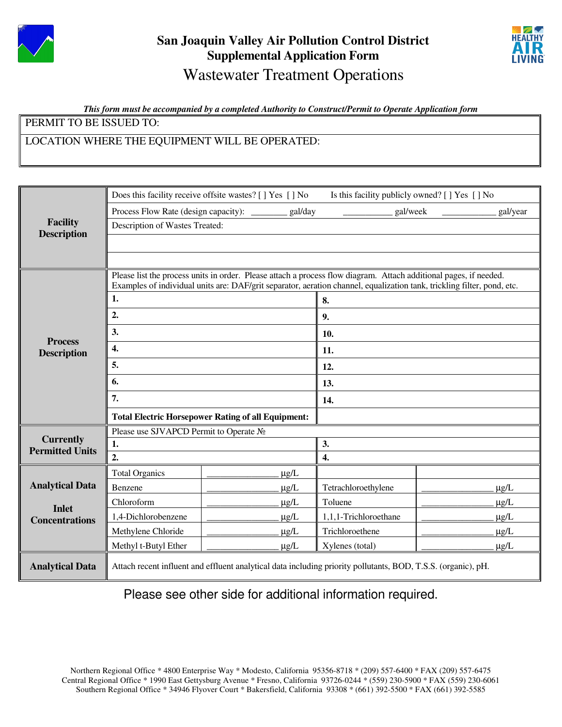

# **San Joaquin Valley Air Pollution Control District Supplemental Application Form**  Wastewater Treatment Operations



#### *This form must be accompanied by a completed Authority to Construct/Permit to Operate Application form*

PERMIT TO BE ISSUED TO:

### LOCATION WHERE THE EQUIPMENT WILL BE OPERATED:

|                                            | Does this facility receive offsite wastes? [ ] Yes [ ] No<br>Is this facility publicly owned? [ ] Yes [ ] No            |           |                       |           |  |  |
|--------------------------------------------|-------------------------------------------------------------------------------------------------------------------------|-----------|-----------------------|-----------|--|--|
|                                            | Process Flow Rate (design capacity): _________ gal/day                                                                  |           | gal/week<br>gal/year  |           |  |  |
| <b>Facility</b>                            | Description of Wastes Treated:                                                                                          |           |                       |           |  |  |
| <b>Description</b>                         |                                                                                                                         |           |                       |           |  |  |
|                                            |                                                                                                                         |           |                       |           |  |  |
|                                            | Please list the process units in order. Please attach a process flow diagram. Attach additional pages, if needed.       |           |                       |           |  |  |
|                                            | Examples of individual units are: DAF/grit separator, aeration channel, equalization tank, trickling filter, pond, etc. |           |                       |           |  |  |
| <b>Process</b><br><b>Description</b>       | 1.                                                                                                                      |           | 8.                    |           |  |  |
|                                            | 2.                                                                                                                      |           | 9.                    |           |  |  |
|                                            | 3.                                                                                                                      |           | 10.                   |           |  |  |
|                                            | 4.                                                                                                                      |           | 11.                   |           |  |  |
|                                            | 5.                                                                                                                      |           | 12.                   |           |  |  |
|                                            | 6.                                                                                                                      |           | 13.                   |           |  |  |
|                                            | 7.                                                                                                                      |           | 14.                   |           |  |  |
|                                            | <b>Total Electric Horsepower Rating of all Equipment:</b>                                                               |           |                       |           |  |  |
|                                            | Please use SJVAPCD Permit to Operate No                                                                                 |           |                       |           |  |  |
| <b>Currently</b><br><b>Permitted Units</b> | 1.                                                                                                                      |           | 3.                    |           |  |  |
|                                            | $\overline{2}$ .                                                                                                        |           | $\overline{4}$ .      |           |  |  |
|                                            | <b>Total Organics</b>                                                                                                   | $\mu$ g/L |                       |           |  |  |
| <b>Analytical Data</b>                     | Benzene                                                                                                                 | $\mu g/L$ | Tetrachloroethylene   | $\mu$ g/L |  |  |
| <b>Inlet</b><br><b>Concentrations</b>      | Chloroform                                                                                                              | $\mu$ g/L | Toluene               | $\mu$ g/L |  |  |
|                                            | 1,4-Dichlorobenzene                                                                                                     | $\mu$ g/L | 1,1,1-Trichloroethane | $\mu$ g/L |  |  |
|                                            | Methylene Chloride                                                                                                      | $\mu$ g/L | Trichloroethene       | $\mu$ g/L |  |  |
|                                            | Methyl t-Butyl Ether                                                                                                    | $\mu$ g/L | Xylenes (total)       | $\mu$ g/L |  |  |
| <b>Analytical Data</b>                     | Attach recent influent and effluent analytical data including priority pollutants, BOD, T.S.S. (organic), pH.           |           |                       |           |  |  |

Please see other side for additional information required.